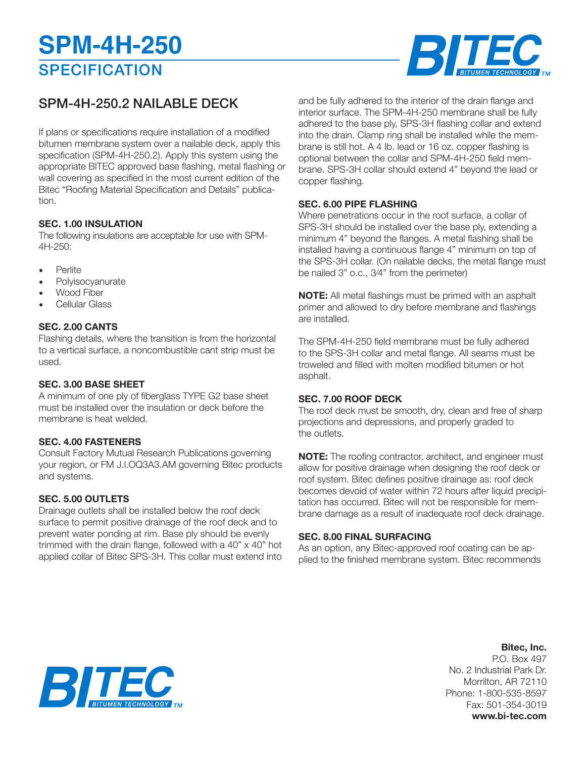# **SPECIFICATION SPM-4H-250**



## SPM-4H-250.2 NAILABLE DECK

If plans or specifications require installation of a modified bitumen membrane system over a nailable deck, apply this specification (SPM-4H-250.2). Apply this system using the appropriate BITEC approved base flashing, metal flashing or wall covering as specified in the most current edition of the Bitec "Roofing Material Specification and Details" publication.

### **SEC. 1.00 INSULATION**

The following insulations are acceptable for use with SPM-4H-250:

- **Perlite**
- **Polyisocyanurate**
- Wood Fiber
- Cellular Glass

#### **SEC. 2.00 CANTS**

Flashing details, where the transition is from the horizontal to a vertical surface, a noncombustible cant strip must be used.

#### **SEC. 3.00 BASE SHEET**

A minimum of one ply of fiberglass TYPE G2 base sheet must be installed over the insulation or deck before the membrane is heat welded.

#### **SEC. 4.00 FASTENERS**

Consult Factory Mutual Research Publications governing your region, or FM J.l.OQ3A3.AM governing Bitec products and systems.

#### **SEC. 5.00 OUTLETS**

Drainage outlets shall be installed below the roof deck surface to permit positive drainage of the roof deck and to prevent water ponding at rim. Base ply should be evenly trimmed with the drain flange, followed with a 40"  $\times$  40" hot applied collar of Bitec SPS-3H. This collar must extend into

and be fully adhered to the interior of the drain flange and interior surface. The SPM-4H-250 membrane shall be fully adhered to the base ply, SPS-3H flashing collar and extend into the drain. Clamp ring shall be installed while the membrane is still hot. A 4 Ib. lead or 16 oz. copper flashing is optional between the collar and SPM-4H-250 field membrane. SPS-3H collar should extend 4" beyond the lead or copper flashing.

#### **SEC. 6.00 PIPE FLASHING**

Where penetrations occur in the roof surface, a collar of SPS-3H should be installed over the base ply, extending a minimum 4" beyond the flanges. A metal flashing shall be installed having a continuous flange 4" minimum on top of the SPS-3H collar. (On nailable decks, the metal flange must be nailed 3" o.c., 3⁄4" from the perimeter)

**NOTE:** All metal flashings must be primed with an asphalt primer and allowed to dry before membrane and flashings are installed.

The SPM-4H-250 field membrane must be fully adhered to the SPS-3H collar and metal flange. All seams must be troweled and filled with molten modified bitumen or hot asphalt.

#### **SEC. 7.00 ROOF DECK**

The roof deck must be smooth, dry, clean and free of sharp projections and depressions, and properly graded to the outlets.

**NOTE:** The roofing contractor, architect, and engineer must allow for positive drainage when designing the roof deck or roof system. Bitec defines positive drainage as: roof deck becomes devoid of water within 72 hours after liquid precipitation has occurred. Bitec will not be responsible for membrane damage as a result of inadequate roof deck drainage.

#### **SEC. 8.00 FINAL SURFACING**

As an option, any Bitec-approved roof coating can be applied to the finished membrane system. Bitec recommends

### **Bitec, Inc.**

P.O. Box 497 No. 2 Industrial Park Dr. Morrilton, AR 72110 Phone: 1-800-535-8597 Fax: 501-354-3019 **www.bi-tec.com**